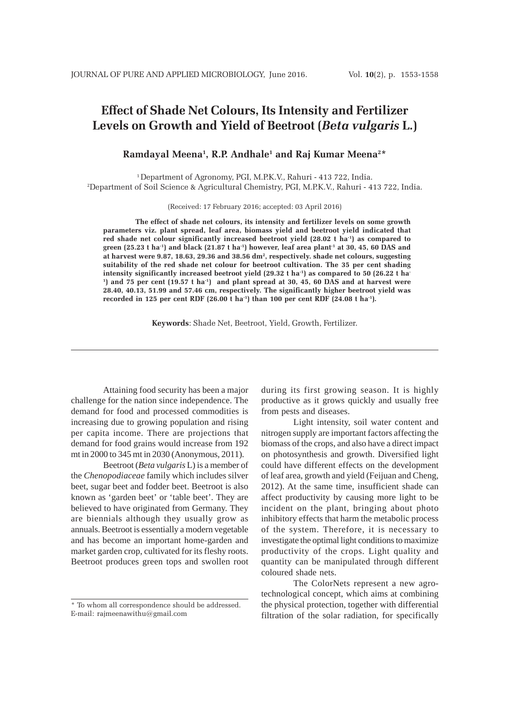# **Effect of Shade Net Colours, Its Intensity and Fertilizer Levels on Growth and Yield of Beetroot (***Beta vulgaris* **L.)**

# **Ramdayal Meena1 , R.P. Andhale1 and Raj Kumar Meena2 \***

1 Department of Agronomy, PGI, M.P.K.V., Rahuri - 413 722, India. 2 Department of Soil Science & Agricultural Chemistry, PGI, M.P.K.V., Rahuri - 413 722, India.

(Received: 17 February 2016; accepted: 03 April 2016)

**The effect of shade net colours, its intensity and fertilizer levels on some growth parameters viz. plant spread, leaf area, biomass yield and beetroot yield indicated that** red shade net colour significantly increased beetroot yield (28.02 t ha<sup>-1</sup>) as compared to **green (25.23 t ha-1) and black (21.87 t ha-1) however, leaf area plant-1 at 30, 45, 60 DAS and at harvest were 9.87, 18.63, 29.36 and 38.56 dm2, respectively. shade net colours, suggesting suitability of the red shade net colour for beetroot cultivation. The 35 per cent shading** intensity significantly increased beetroot yield (29.32 t ha<sup>-1</sup>) as compared to 50 (26.22 t ha<sup>-</sup> <sup>1</sup>) and 75 per cent (19.57 t ha<sup>-1</sup>) and plant spread at 30, 45, 60 DAS and at harvest were **28.40, 40.13, 51.99 and 57.46 cm, respectively. The significantly higher beetroot yield was recorded in 125 per cent RDF (26.00 t ha-1) than 100 per cent RDF (24.08 t ha-1).**

**Keywords**: Shade Net, Beetroot, Yield, Growth, Fertilizer.

Attaining food security has been a major challenge for the nation since independence. The demand for food and processed commodities is increasing due to growing population and rising per capita income. There are projections that demand for food grains would increase from 192 mt in 2000 to 345 mt in 2030 (Anonymous, 2011).

Beetroot (*Beta vulgaris* L) is a member of the *Chenopodiaceae* family which includes silver beet, sugar beet and fodder beet. Beetroot is also known as 'garden beet' or 'table beet'. They are believed to have originated from Germany. They are biennials although they usually grow as annuals. Beetroot is essentially a modern vegetable and has become an important home-garden and market garden crop, cultivated for its fleshy roots. Beetroot produces green tops and swollen root

during its first growing season. It is highly productive as it grows quickly and usually free from pests and diseases.

Light intensity, soil water content and nitrogen supply are important factors affecting the biomass of the crops, and also have a direct impact on photosynthesis and growth. Diversified light could have different effects on the development of leaf area, growth and yield (Feijuan and Cheng, 2012). At the same time, insufficient shade can affect productivity by causing more light to be incident on the plant, bringing about photo inhibitory effects that harm the metabolic process of the system. Therefore, it is necessary to investigate the optimal light conditions to maximize productivity of the crops. Light quality and quantity can be manipulated through different coloured shade nets.

The ColorNets represent a new agrotechnological concept, which aims at combining the physical protection, together with differential filtration of the solar radiation, for specifically

<sup>\*</sup> To whom all correspondence should be addressed. E-mail: rajmeenawithu@gmail.com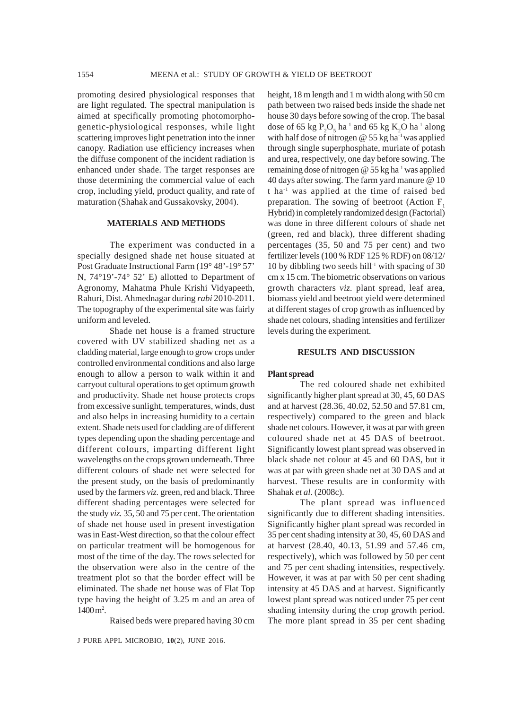promoting desired physiological responses that are light regulated. The spectral manipulation is aimed at specifically promoting photomorphogenetic-physiological responses, while light scattering improves light penetration into the inner canopy. Radiation use efficiency increases when the diffuse component of the incident radiation is enhanced under shade. The target responses are those determining the commercial value of each crop, including yield, product quality, and rate of maturation (Shahak and Gussakovsky, 2004).

### **MATERIALS AND METHODS**

The experiment was conducted in a specially designed shade net house situated at Post Graduate Instructional Farm (19° 48'-19° 57' N, 74°19'-74° 52' E) allotted to Department of Agronomy, Mahatma Phule Krishi Vidyapeeth, Rahuri, Dist. Ahmednagar during *rabi* 2010-2011. The topography of the experimental site was fairly uniform and leveled.

Shade net house is a framed structure covered with UV stabilized shading net as a cladding material, large enough to grow crops under controlled environmental conditions and also large enough to allow a person to walk within it and carryout cultural operations to get optimum growth and productivity. Shade net house protects crops from excessive sunlight, temperatures, winds, dust and also helps in increasing humidity to a certain extent. Shade nets used for cladding are of different types depending upon the shading percentage and different colours, imparting different light wavelengths on the crops grown underneath. Three different colours of shade net were selected for the present study, on the basis of predominantly used by the farmers *viz.* green, red and black. Three different shading percentages were selected for the study *viz.* 35, 50 and 75 per cent. The orientation of shade net house used in present investigation was in East-West direction, so that the colour effect on particular treatment will be homogenous for most of the time of the day. The rows selected for the observation were also in the centre of the treatment plot so that the border effect will be eliminated. The shade net house was of Flat Top type having the height of 3.25 m and an area of 1400 m<sup>2</sup>.

Raised beds were prepared having 30 cm

J PURE APPL MICROBIO*,* **10**(2), JUNE 2016.

height, 18 m length and 1 m width along with 50 cm path between two raised beds inside the shade net house 30 days before sowing of the crop. The basal dose of 65 kg  $P_2O_5$  ha<sup>-1</sup> and 65 kg K<sub>2</sub>O ha<sup>-1</sup> along with half dose of nitrogen  $@$  55 kg ha<sup>-1</sup> was applied through single superphosphate, muriate of potash and urea, respectively, one day before sowing. The remaining dose of nitrogen  $\omega$  55 kg ha<sup>-1</sup> was applied 40 days after sowing. The farm yard manure @ 10 t ha-1 was applied at the time of raised bed preparation. The sowing of beetroot (Action  $F_1$ ) Hybrid) in completely randomized design (Factorial) was done in three different colours of shade net (green, red and black), three different shading percentages (35, 50 and 75 per cent) and two fertilizer levels (100 % RDF 125 % RDF) on 08/12/ 10 by dibbling two seeds hill<sup>-1</sup> with spacing of 30 cm x 15 cm. The biometric observations on various growth characters *viz.* plant spread, leaf area, biomass yield and beetroot yield were determined at different stages of crop growth as influenced by shade net colours, shading intensities and fertilizer levels during the experiment.

#### **RESULTS AND DISCUSSION**

#### **Plant spread**

The red coloured shade net exhibited significantly higher plant spread at 30, 45, 60 DAS and at harvest (28.36, 40.02, 52.50 and 57.81 cm, respectively) compared to the green and black shade net colours. However, it was at par with green coloured shade net at 45 DAS of beetroot. Significantly lowest plant spread was observed in black shade net colour at 45 and 60 DAS, but it was at par with green shade net at 30 DAS and at harvest. These results are in conformity with Shahak *et al*. (2008c).

The plant spread was influenced significantly due to different shading intensities. Significantly higher plant spread was recorded in 35 per cent shading intensity at 30, 45, 60 DAS and at harvest (28.40, 40.13, 51.99 and 57.46 cm, respectively), which was followed by 50 per cent and 75 per cent shading intensities, respectively. However, it was at par with 50 per cent shading intensity at 45 DAS and at harvest. Significantly lowest plant spread was noticed under 75 per cent shading intensity during the crop growth period. The more plant spread in 35 per cent shading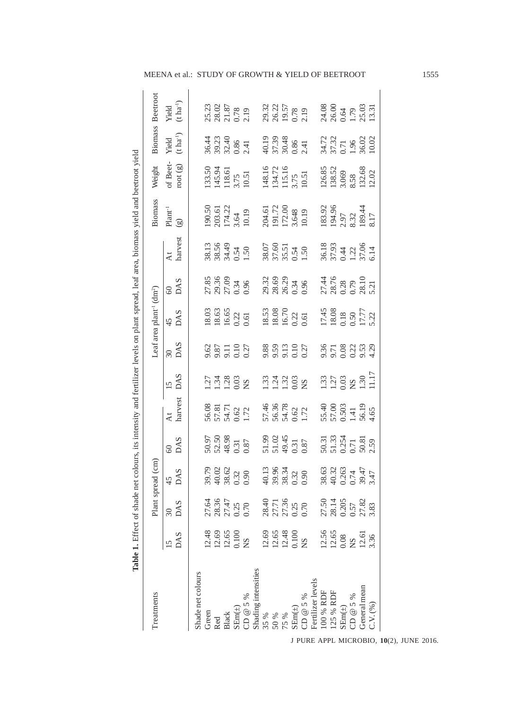| ł<br>l                                                      |
|-------------------------------------------------------------|
|                                                             |
| nm as                                                       |
| 1<br>í                                                      |
| j<br>ļ                                                      |
| Ì<br><b>Contract</b>                                        |
| lant                                                        |
|                                                             |
| į                                                           |
| j<br>$\frac{1}{2}$<br>֦֢֦֧֦֧֦֧֦֧֦֧֦֧֦֧֦֧֦֧֦֧֦֧֦֧֚֚֚֚֚֬<br>E |
| l<br>্                                                      |
| 1、 1、 1、 1、 1、 1、 1                                         |
| į                                                           |
|                                                             |
| İ<br>j                                                      |
| i<br>l                                                      |
| ī                                                           |
|                                                             |
| i<br>r co<br>į                                              |
|                                                             |
| Table.                                                      |

| reatments                                                                                                                                                                                                                                                                                                                                   |                                                                                                                                            | Plant spre              | ad (cm)                                         |                                           |                                                  |                                                     |                                                          | Leaf area plant <sup>-1</sup> (dm <sup>2</sup> )                               |                                                 |                                         | Biomass                                                                     | Weight                                                                             |                                         | Biomass Beetroot                                                                                                         |
|---------------------------------------------------------------------------------------------------------------------------------------------------------------------------------------------------------------------------------------------------------------------------------------------------------------------------------------------|--------------------------------------------------------------------------------------------------------------------------------------------|-------------------------|-------------------------------------------------|-------------------------------------------|--------------------------------------------------|-----------------------------------------------------|----------------------------------------------------------|--------------------------------------------------------------------------------|-------------------------------------------------|-----------------------------------------|-----------------------------------------------------------------------------|------------------------------------------------------------------------------------|-----------------------------------------|--------------------------------------------------------------------------------------------------------------------------|
|                                                                                                                                                                                                                                                                                                                                             |                                                                                                                                            | $\frac{30}{\text{DAS}}$ |                                                 |                                           |                                                  |                                                     |                                                          |                                                                                |                                                 |                                         | $\mathbf{Plant}^{\text{-1}}$                                                |                                                                                    |                                         |                                                                                                                          |
|                                                                                                                                                                                                                                                                                                                                             | DAS                                                                                                                                        |                         | $\frac{45}{\text{DAS}}$                         | $\frac{60}{DAS}$                          | harvest                                          | DAS                                                 | $\frac{30}{DAS}$                                         | $\frac{45}{DAS}$                                                               | $\frac{60}{DAS}$                                | harvest                                 | $\odot$                                                                     | of Beet-<br>root $\left( \text{g}\right)$                                          | Yield $(t\,\mathrm{h}\mathrm{a}^{-1})$  | Yield $(t \ln a^{-1})$                                                                                                   |
| Shade net colours                                                                                                                                                                                                                                                                                                                           |                                                                                                                                            |                         |                                                 |                                           |                                                  |                                                     |                                                          |                                                                                |                                                 |                                         |                                                                             |                                                                                    |                                         |                                                                                                                          |
| Green                                                                                                                                                                                                                                                                                                                                       | $12.48$<br>$12.69$<br>$12.65$<br>$0.100$<br>NS                                                                                             |                         |                                                 |                                           |                                                  |                                                     |                                                          |                                                                                |                                                 |                                         |                                                                             |                                                                                    |                                         |                                                                                                                          |
| <b>Red</b>                                                                                                                                                                                                                                                                                                                                  |                                                                                                                                            |                         | 39.79<br>40.02<br>38.62<br>0.32                 | 50.97<br>52.50<br>48.98<br>0.31<br>0.87   | 56.08<br>57.81<br>54.71<br>0.62<br>1.72          | 1.34<br>1.34<br>1.28<br>1.29<br>1.29                | 9.87<br>9.87<br>9.9.10<br>9.0.27                         | $\begin{array}{c} 18.03 \\ 18.63 \\ 16.65 \\ 0.22 \\ 0.61 \end{array}$         | 27.85<br>29.36<br>27.09<br>0.34<br>0.96         | 38.13<br>38.56<br>34.49<br>0.54<br>1.50 | 190.50<br>203.61<br>174.22<br>3.64<br>3.64                                  | 133.50<br>145.94<br>118.61<br>3.75<br>10.51                                        | 36.44<br>39.23<br>32.40<br>2.41         |                                                                                                                          |
| 3lack                                                                                                                                                                                                                                                                                                                                       |                                                                                                                                            |                         |                                                 |                                           |                                                  |                                                     |                                                          |                                                                                |                                                 |                                         |                                                                             |                                                                                    |                                         |                                                                                                                          |
|                                                                                                                                                                                                                                                                                                                                             |                                                                                                                                            |                         |                                                 |                                           |                                                  |                                                     |                                                          |                                                                                |                                                 |                                         |                                                                             |                                                                                    |                                         |                                                                                                                          |
|                                                                                                                                                                                                                                                                                                                                             |                                                                                                                                            |                         |                                                 |                                           |                                                  |                                                     |                                                          |                                                                                |                                                 |                                         |                                                                             |                                                                                    |                                         |                                                                                                                          |
|                                                                                                                                                                                                                                                                                                                                             |                                                                                                                                            |                         |                                                 |                                           |                                                  |                                                     |                                                          |                                                                                |                                                 |                                         |                                                                             |                                                                                    |                                         |                                                                                                                          |
|                                                                                                                                                                                                                                                                                                                                             |                                                                                                                                            |                         |                                                 |                                           |                                                  |                                                     |                                                          |                                                                                |                                                 |                                         |                                                                             |                                                                                    |                                         |                                                                                                                          |
| $\begin{array}{l} \text{SEm}(\pm)\\ \text{CD} \ @ \ 5 \ \%\\ \text{Shading intensities}\\ 35 \ \%\\ 50 \ \% \end{array}$                                                                                                                                                                                                                    |                                                                                                                                            |                         |                                                 |                                           |                                                  |                                                     |                                                          |                                                                                |                                                 |                                         |                                                                             |                                                                                    |                                         |                                                                                                                          |
| 9651                                                                                                                                                                                                                                                                                                                                        |                                                                                                                                            |                         |                                                 |                                           |                                                  |                                                     |                                                          |                                                                                |                                                 |                                         |                                                                             |                                                                                    |                                         |                                                                                                                          |
|                                                                                                                                                                                                                                                                                                                                             |                                                                                                                                            |                         |                                                 |                                           |                                                  |                                                     |                                                          |                                                                                |                                                 |                                         |                                                                             |                                                                                    |                                         |                                                                                                                          |
| $\begin{array}{l} \mathrm{SEm}(\pm)\\ \mathrm{CD} \text{ @ } 5\text{ %}\\ \mathrm{Fertilizer} \text{ levels}\\ \mathrm{H00} \text{ @ } \mathrm{RDF}\\ \mathrm{100} \text{ @ } \mathrm{RDF}\\ \mathrm{125} \text{ @ } \mathrm{RDF}\\ \mathrm{SEm}(\pm)\\ \mathrm{C D} \text{ @ } 5\text{ %}\\ \mathrm{CD} \text{ @ } 5\text{ %} \end{array}$ | $\begin{array}{cc} 12.69 \\ 12.65 \\ 11.48 \\ 0.10 \\ 0.10 \\ 0.25 \\ 0.08 \\ 0.08 \\ 0.08 \\ 0.03 \\ 0.33 \\ 3.36 \\ 3.36 \\ \end{array}$ |                         | $40.13$<br>39.96<br>38.34<br>38.32              | 51.99<br>51.02<br>49.45<br>0.31           | 57.46<br>56.36<br>54.78<br>0.62<br>1.72          | 134<br>132<br>193<br>28                             | 9.88<br>9.59<br>0.10<br>0.27                             | $\begin{array}{c} 18.53 \\ 18.08 \\ 16.70 \\ 0.22 \\ 0.61 \end{array}$         | 29.32<br>28.69<br>26.29<br>0.34                 | 38.07<br>37.60<br>35.51<br>0.54<br>1.50 | 204.61<br>191.72.00<br>172.00<br>3.648<br>183.92.97<br>18.32.97<br>18.32.97 |                                                                                    | 40.19<br>37.39<br>30.48<br>0.86<br>2.41 | 25.23<br>28.078<br>21.879<br>29.32.578<br>20.04<br>20.078<br>20.04<br>20.03<br>20.03<br>20.03<br>20.03<br>20.03<br>20.03 |
|                                                                                                                                                                                                                                                                                                                                             |                                                                                                                                            |                         |                                                 |                                           |                                                  |                                                     |                                                          |                                                                                |                                                 |                                         |                                                                             |                                                                                    |                                         |                                                                                                                          |
|                                                                                                                                                                                                                                                                                                                                             |                                                                                                                                            |                         |                                                 |                                           |                                                  |                                                     |                                                          |                                                                                |                                                 |                                         |                                                                             |                                                                                    |                                         |                                                                                                                          |
|                                                                                                                                                                                                                                                                                                                                             |                                                                                                                                            |                         |                                                 |                                           |                                                  |                                                     |                                                          |                                                                                |                                                 |                                         |                                                                             |                                                                                    |                                         |                                                                                                                          |
|                                                                                                                                                                                                                                                                                                                                             |                                                                                                                                            |                         |                                                 |                                           |                                                  |                                                     |                                                          |                                                                                |                                                 |                                         |                                                                             |                                                                                    |                                         |                                                                                                                          |
|                                                                                                                                                                                                                                                                                                                                             |                                                                                                                                            |                         | 38.63<br>40.32<br>0.263<br>0.74<br>3.47<br>3.47 | 50.31<br>51.33<br>0.254<br>50.81<br>50.82 | 55.40<br>57.00<br>0.503<br>1.41<br>56.19<br>4.65 | $\frac{133}{1.27}$<br>0.03<br>1.30<br>1.17<br>11.17 | $0.78$<br>$0.23$<br>$0.33$<br>$0.53$<br>$0.53$<br>$0.59$ | $\begin{array}{c} 17.45 \\ 18.08 \\ 0.18 \\ 0.50 \\ 17.77 \\ 5.22 \end{array}$ | 27.44<br>28.76<br>0.28<br>0.79<br>28.10<br>5.21 | 36.18<br>37.93<br>0.44<br>57.06<br>5.14 |                                                                             |                                                                                    | 34.72<br>37.32<br>0.71<br>1.96<br>36.02 |                                                                                                                          |
| General mean                                                                                                                                                                                                                                                                                                                                |                                                                                                                                            |                         |                                                 |                                           |                                                  |                                                     |                                                          |                                                                                |                                                 |                                         |                                                                             |                                                                                    |                                         |                                                                                                                          |
| C.V. (%)                                                                                                                                                                                                                                                                                                                                    |                                                                                                                                            |                         |                                                 |                                           |                                                  |                                                     |                                                          |                                                                                |                                                 |                                         |                                                                             | 148.16<br>1134.72<br>115.16<br>3.75<br>115.85<br>126.85<br>128.53<br>3.069<br>8.58 |                                         |                                                                                                                          |
|                                                                                                                                                                                                                                                                                                                                             |                                                                                                                                            |                         |                                                 |                                           |                                                  |                                                     |                                                          |                                                                                |                                                 |                                         |                                                                             |                                                                                    |                                         |                                                                                                                          |

# MEENA et al.: STUDY OF GROWTH & YIELD OF BEETROOT 1555

J PURE APPL MICROBIO*,* **10**(2), JUNE 2016.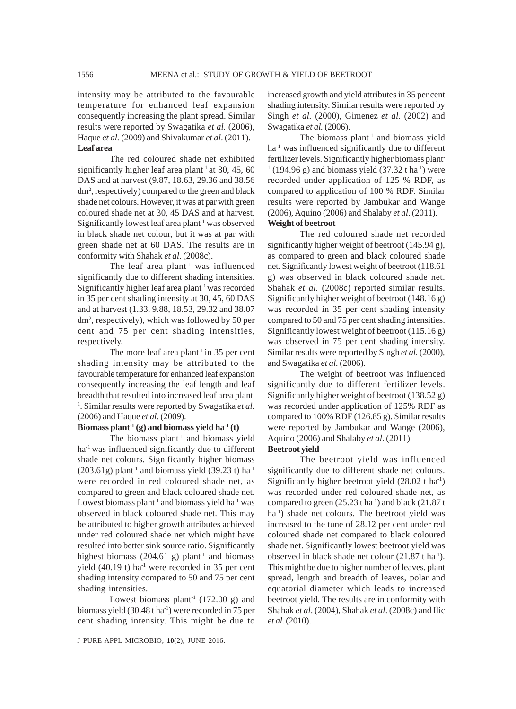intensity may be attributed to the favourable temperature for enhanced leaf expansion consequently increasing the plant spread. Similar results were reported by Swagatika *et al.* (2006), Haque *et al.* (2009) and Shivakumar *et al*. (2011). **Leaf area**

The red coloured shade net exhibited significantly higher leaf area plant<sup>-1</sup> at 30, 45, 60 DAS and at harvest (9.87, 18.63, 29.36 and 38.56 dm2 , respectively) compared to the green and black shade net colours. However, it was at par with green coloured shade net at 30, 45 DAS and at harvest. Significantly lowest leaf area plant<sup>-1</sup> was observed in black shade net colour, but it was at par with green shade net at 60 DAS. The results are in conformity with Shahak *et al*. (2008c).

The leaf area plant<sup>-1</sup> was influenced significantly due to different shading intensities. Significantly higher leaf area plant<sup>-1</sup> was recorded in 35 per cent shading intensity at 30, 45, 60 DAS and at harvest (1.33, 9.88, 18.53, 29.32 and 38.07 dm2 , respectively), which was followed by 50 per cent and 75 per cent shading intensities, respectively.

The more leaf area plant<sup>-1</sup> in 35 per cent shading intensity may be attributed to the favourable temperature for enhanced leaf expansion consequently increasing the leaf length and leaf breadth that resulted into increased leaf area plant-1 . Similar results were reported by Swagatika *et al.* (2006) and Haque *et al.* (2009).

#### Biomass plant<sup>-1</sup> (g) and biomass yield ha<sup>-1</sup> (t)

The biomass plant<sup>-1</sup> and biomass yield ha<sup>-1</sup> was influenced significantly due to different shade net colours. Significantly higher biomass  $(203.61g)$  plant<sup>-1</sup> and biomass yield  $(39.23t)$  ha<sup>-1</sup> were recorded in red coloured shade net, as compared to green and black coloured shade net. Lowest biomass plant<sup>1</sup> and biomass yield ha<sup>-1</sup> was observed in black coloured shade net. This may be attributed to higher growth attributes achieved under red coloured shade net which might have resulted into better sink source ratio. Significantly highest biomass (204.61 g) plant<sup>-1</sup> and biomass yield  $(40.19 t)$  ha<sup>-1</sup> were recorded in 35 per cent shading intensity compared to 50 and 75 per cent shading intensities.

Lowest biomass plant<sup>-1</sup> (172.00 g) and biomass yield (30.48 t ha<sup>-1</sup>) were recorded in 75 per cent shading intensity. This might be due to

J PURE APPL MICROBIO*,* **10**(2), JUNE 2016.

increased growth and yield attributes in 35 per cent shading intensity. Similar results were reported by Singh *et al.* (2000), Gimenez *et al*. (2002) and Swagatika *et al.* (2006).

The biomass plant<sup>-1</sup> and biomass yield ha<sup>-1</sup> was influenced significantly due to different fertilizer levels. Significantly higher biomass plant- $1(194.96 \text{ g})$  and biomass yield  $(37.32 \text{ t} \text{ ha}^1)$  were recorded under application of 125 % RDF, as compared to application of 100 % RDF. Similar results were reported by Jambukar and Wange (2006), Aquino (2006) and Shalaby *et al*. (2011).

# **Weight of beetroot**

The red coloured shade net recorded significantly higher weight of beetroot (145.94 g), as compared to green and black coloured shade net. Significantly lowest weight of beetroot (118.61 g) was observed in black coloured shade net. Shahak *et al.* (2008c) reported similar results. Significantly higher weight of beetroot (148.16 g) was recorded in 35 per cent shading intensity compared to 50 and 75 per cent shading intensities. Significantly lowest weight of beetroot  $(115.16 \text{ g})$ was observed in 75 per cent shading intensity. Similar results were reported by Singh *et al.* (2000), and Swagatika *et al.* (2006).

The weight of beetroot was influenced significantly due to different fertilizer levels. Significantly higher weight of beetroot (138.52 g) was recorded under application of 125% RDF as compared to 100% RDF (126.85 g). Similar results were reported by Jambukar and Wange (2006), Aquino (2006) and Shalaby *et al*. (2011)

#### **Beetroot yield**

The beetroot yield was influenced significantly due to different shade net colours. Significantly higher beetroot yield  $(28.02 \text{ t ha}^{-1})$ was recorded under red coloured shade net, as compared to green  $(25.23 \text{ tha}^{-1})$  and black  $(21.87 \text{ t}$ ha<sup>-1</sup>) shade net colours. The beetroot yield was increased to the tune of 28.12 per cent under red coloured shade net compared to black coloured shade net. Significantly lowest beetroot yield was observed in black shade net colour (21.87 t ha<sup>-1</sup>). This might be due to higher number of leaves, plant spread, length and breadth of leaves, polar and equatorial diameter which leads to increased beetroot yield. The results are in conformity with Shahak *et al*. (2004), Shahak *et al*. (2008c) and Ilic *et al.* (2010).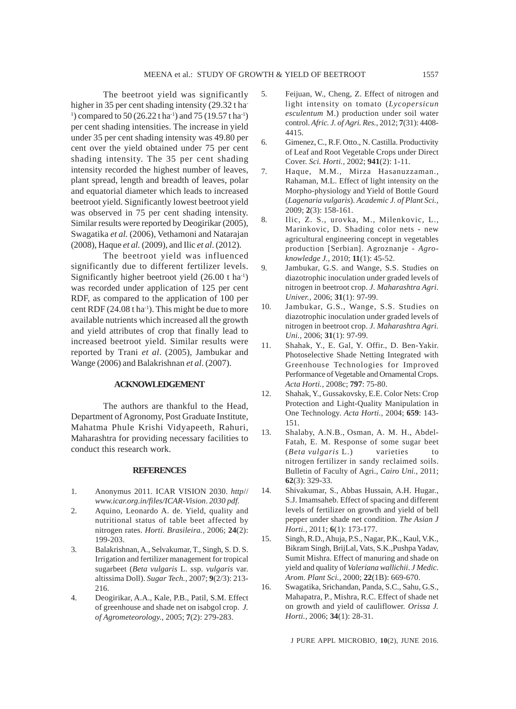The beetroot yield was significantly higher in 35 per cent shading intensity (29.32 t ha-<sup>1</sup>) compared to 50 (26.22 t ha<sup>-1</sup>) and 75 (19.57 t ha<sup>-1</sup>) per cent shading intensities. The increase in yield under 35 per cent shading intensity was 49.80 per cent over the yield obtained under 75 per cent shading intensity. The 35 per cent shading intensity recorded the highest number of leaves, plant spread, length and breadth of leaves, polar and equatorial diameter which leads to increased beetroot yield. Significantly lowest beetroot yield was observed in 75 per cent shading intensity. Similar results were reported by Deogirikar (2005), Swagatika *et al.* (2006), Vethamoni and Natarajan (2008), Haque *et al.* (2009), and Ilic *et al*. (2012).

The beetroot yield was influenced significantly due to different fertilizer levels. Significantly higher beetroot yield  $(26.00 \text{ t} \text{ ha}^{-1})$ was recorded under application of 125 per cent RDF, as compared to the application of 100 per cent RDF  $(24.08 \text{ tha}^{-1})$ . This might be due to more available nutrients which increased all the growth and yield attributes of crop that finally lead to increased beetroot yield. Similar results were reported by Trani *et al*. (2005), Jambukar and Wange (2006) and Balakrishnan *et al*. (2007).

# **ACKNOWLEDGEMENT**

The authors are thankful to the Head, Department of Agronomy, Post Graduate Institute, Mahatma Phule Krishi Vidyapeeth, Rahuri, Maharashtra for providing necessary facilities to conduct this research work.

#### **REFERENCES**

- 1. Anonymus 2011. ICAR VISION 2030. *http*// *www.icar.org.in/files/ICAR-Vision*. *2030 pdf.*
- 2. Aquino, Leonardo A. de. Yield, quality and nutritional status of table beet affected by nitrogen rates. *Horti. Brasileira.,* 2006; **24**(2): 199-203.
- 3. Balakrishnan, A., Selvakumar, T., Singh, S. D. S. Irrigation and fertilizer management for tropical sugarbeet (*Beta vulgaris* L. ssp. *vulgaris* var. altissima Doll). *Sugar Tech.,* 2007; **9**(2/3): 213- 216.
- 4. Deogirikar, A.A., Kale, P.B., Patil, S.M. Effect of greenhouse and shade net on isabgol crop. *J. of Agrometeorology.,* 2005; **7**(2): 279-283.
- 5. Feijuan, W., Cheng, Z. Effect of nitrogen and light intensity on tomato (*Lycopersicun esculentum* M.) production under soil water control. *Afric. J. of Agri. Res.,* 2012; **7**(31): 4408- 4415.
- 6. Gimenez, C., R.F. Otto., N. Castilla. Productivity of Leaf and Root Vegetable Crops under Direct Cover. *Sci. Horti.,* 2002; **941**(2): 1-11.
- 7. Haque, M.M., Mirza Hasanuzzaman., Rahaman, M.L. Effect of light intensity on the Morpho-physiology and Yield of Bottle Gourd (*Lagenaria vulgaris*). *Academic J. of Plant Sci.,* 2009; **2**(3): 158-161.
- 8. Ilic, Z. S., urovka, M., Milenkovic, L., Marinkovic, D. Shading color nets - new agricultural engineering concept in vegetables production [Serbian]. Agroznanje - *Agroknowledge J.,* 2010; **11**(1): 45-52.
- 9. Jambukar, G.S. and Wange, S.S. Studies on diazotrophic inoculation under graded levels of nitrogen in beetroot crop. *J. Maharashtra Agri. Univer.,* 2006; **31**(1): 97-99.
- 10. Jambukar, G.S., Wange, S.S. Studies on diazotrophic inoculation under graded levels of nitrogen in beetroot crop. *J. Maharashtra Agri. Uni.,* 2006; **31**(1): 97-99.
- 11. Shahak, Y., E. Gal, Y. Offir., D. Ben-Yakir. Photoselective Shade Netting Integrated with Greenhouse Technologies for Improved Performance of Vegetable and Ornamental Crops. *Acta Horti.,* 2008c; **797**: 75-80.
- 12. Shahak, Y., Gussakovsky, E.E. Color Nets: Crop Protection and Light-Quality Manipulation in One Technology. *Acta Horti.,* 2004; **659**: 143- 151.
- 13. Shalaby, A.N.B., Osman, A. M. H., Abdel-Fatah, E. M. Response of some sugar beet (*Beta vulgaris* L.) varieties to nitrogen fertilizer in sandy reclaimed soils. Bulletin of Faculty of Agri., *Cairo Uni.,* 2011; **62**(3): 329-33.
- 14. Shivakumar, S., Abbas Hussain, A.H. Hugar., S.J. Imamsaheb. Effect of spacing and different levels of fertilizer on growth and yield of bell pepper under shade net condition. *The Asian J Horti.,* 2011; **6**(1): 173-177.
- 15. Singh, R.D., Ahuja, P.S., Nagar, P.K., Kaul, V.K., Bikram Singh, BrijLal, Vats, S.K.,Pushpa Yadav, Sumit Mishra. Effect of manuring and shade on yield and quality of *Valeriana wallichii*. *J Medic. Arom. Plant Sci.,* 2000; **22**(1B): 669-670.
- 16. Swagatika, Srichandan, Panda, S.C., Sahu, G.S., Mahapatra, P., Mishra, R.C. Effect of shade net on growth and yield of cauliflower. *Orissa J. Horti.,* 2006; **34**(1): 28-31.

J PURE APPL MICROBIO*,* **10**(2), JUNE 2016.